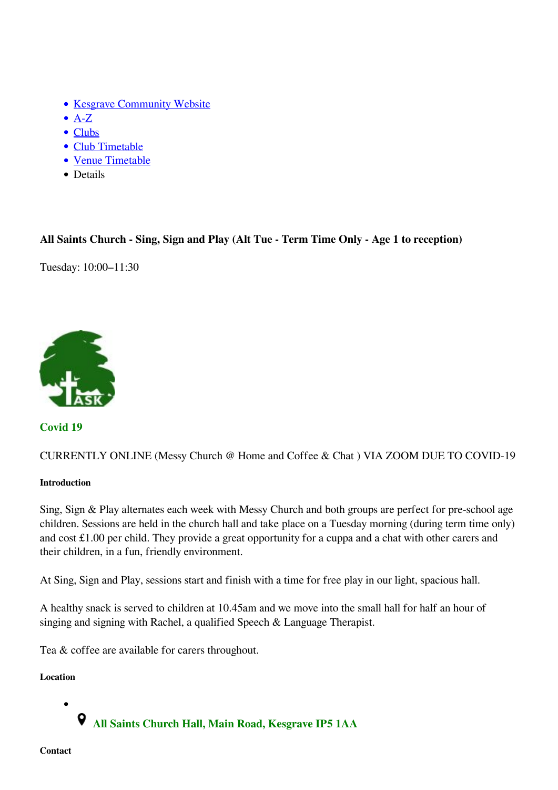- [Kesgrave Community Website](https://www.kesgrave.org.uk/kcw-home.html)
- $\bullet$  [A-Z](https://www.kesgrave.org.uk/kcw-a-z-info-link.html)
- [Clubs](https://www.kesgrave.org.uk/kcw-clubs-and-organisations.html)
- [Club Timetable](https://www.kesgrave.org.uk/kcw-club-timetable.html)
- [Venue Timetable](https://www.kesgrave.org.uk/kcw-club-timetable-by-location.html)
- Details

## **All Saints Church - Sing, Sign and Play (Alt Tue - Term Time Only - Age 1 to reception)**

Tuesday: 10:00–11:30



**Covid 19**

CURRENTLY ONLINE (Messy Church @ Home and Coffee & Chat ) VIA ZOOM DUE TO COVID-19

## **Introduction**

Sing, Sign & Play alternates each week with Messy Church and both groups are perfect for pre-school age children. Sessions are held in the church hall and take place on a Tuesday morning (during term time only) and cost £1.00 per child. They provide a great opportunity for a cuppa and a chat with other carers and their children, in a fun, friendly environment.

At Sing, Sign and Play, sessions start and finish with a time for free play in our light, spacious hall.

A healthy snack is served to children at 10.45am and we move into the small hall for half an hour of singing and signing with Rachel, a qualified Speech & Language Therapist.

Tea & coffee are available for carers throughout.

**Location**

 **All Saints Church Hall, Main Road, Kesgrave IP5 1AA**